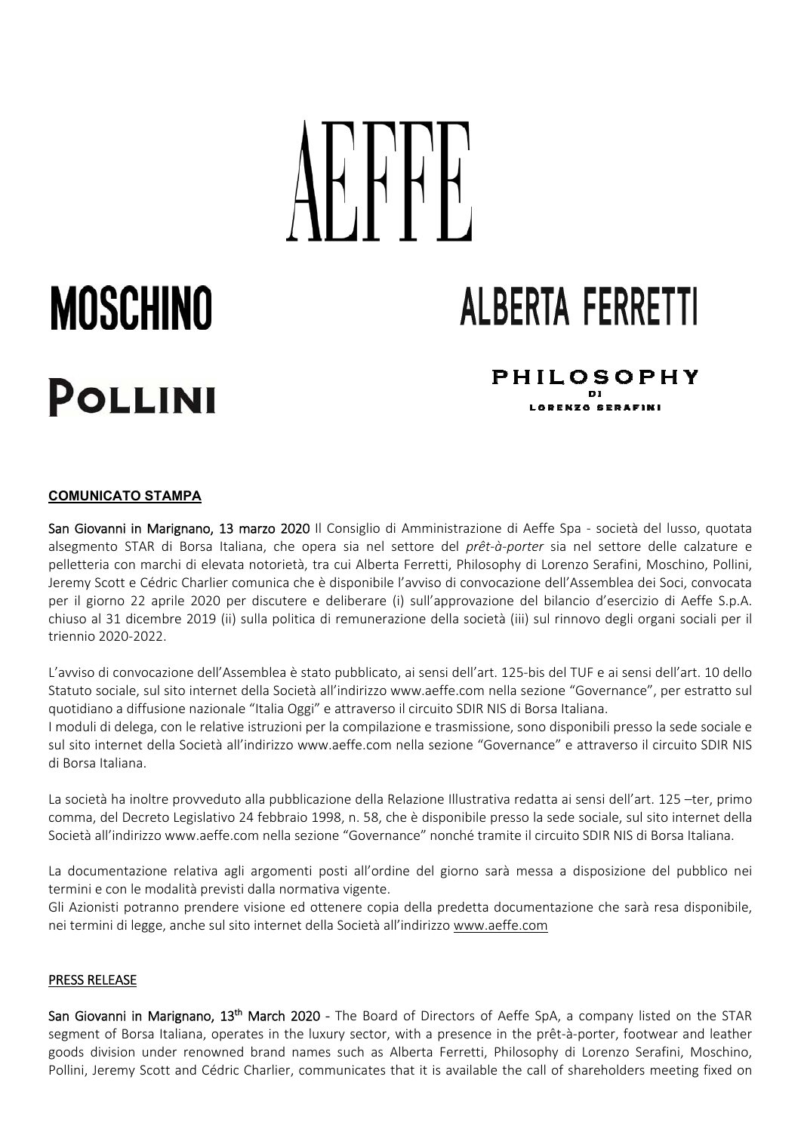## MOSCHINO ALBERTA FERRETTI **PHILOSOPHY** o i I ABENYA GEBAEINI

## **COMUNICATO STAMPA**

J.

 J

San Giovanni in Marignano, 13 marzo 2020 Il Consiglio di Amministrazione di Aeffe Spa - società del lusso, quotata alsegmento STAR di Borsa Italiana, che opera sia nel settore del *prêt‐à‐porter* sia nel settore delle calzature e pelletteria con marchi di elevata notorietà, tra cui Alberta Ferretti, Philosophy di Lorenzo Serafini, Moschino, Pollini, Jeremy Scott e Cédric Charlier comunica che è disponibile l'avviso di convocazione dell'Assemblea dei Soci, convocata per il giorno 22 aprile 2020 per discutere e deliberare (i) sull'approvazione del bilancio d'esercizio di Aeffe S.p.A. chiuso al 31 dicembre 2019 (ii) sulla politica di remunerazione della società (iii) sul rinnovo degli organi sociali per il triennio 2020‐2022.

L'avviso di convocazione dell'Assemblea è stato pubblicato, ai sensi dell'art. 125‐bis del TUF e ai sensi dell'art. 10 dello Statuto sociale, sul sito internet della Società all'indirizzo www.aeffe.com nella sezione "Governance", per estratto sul quotidiano a diffusione nazionale "Italia Oggi" e attraverso il circuito SDIR NIS di Borsa Italiana.

I moduli di delega, con le relative istruzioni per la compilazione e trasmissione, sono disponibili presso la sede sociale e sul sito internet della Società all'indirizzo www.aeffe.com nella sezione "Governance" e attraverso il circuito SDIR NIS di Borsa Italiana.

La società ha inoltre provveduto alla pubblicazione della Relazione Illustrativa redatta ai sensi dell'art. 125 –ter, primo comma, del Decreto Legislativo 24 febbraio 1998, n. 58, che è disponibile presso la sede sociale, sul sito internet della Società all'indirizzo www.aeffe.com nella sezione "Governance" nonché tramite il circuito SDIR NIS di Borsa Italiana.

La documentazione relativa agli argomenti posti all'ordine del giorno sarà messa a disposizione del pubblico nei termini e con le modalità previsti dalla normativa vigente.

Gli Azionisti potranno prendere visione ed ottenere copia della predetta documentazione che sarà resa disponibile, nei termini di legge, anche sul sito internet della Società all'indirizzo www.aeffe.com

## PRESS RELEASE

San Giovanni in Marignano,  $13<sup>th</sup>$  March 2020 - The Board of Directors of Aeffe SpA, a company listed on the STAR segment of Borsa Italiana, operates in the luxury sector, with a presence in the prêt-à-porter, footwear and leather goods division under renowned brand names such as Alberta Ferretti, Philosophy di Lorenzo Serafini, Moschino, Pollini, Jeremy Scott and Cédric Charlier, communicates that it is available the call of shareholders meeting fixed on